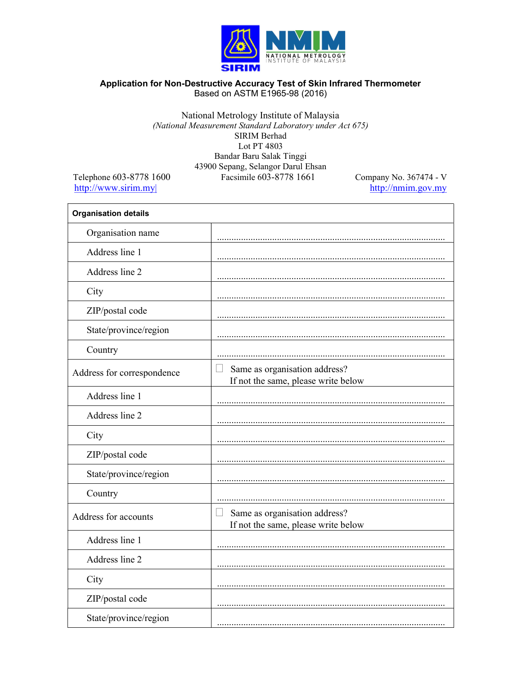

## Application for Non-Destructive Accuracy Test of Skin Infrared Thermometer Based on ASTM E1965-98 (2016)

## National Metrology Institute of Malaysia (National Measurement Standard Laboratory under Act 675) SIRIM Berhad Lot PT 4803 Bandar Baru Salak Tinggi 43900 Sepang, Selangor Darul Ehsan Facsimile 603-8778 1661

Telephone 603-8778 1600 http://www.sirim.my

Company No. 367474 - V http://nmim.gov.my

| <b>Organisation details</b> |                                                                             |
|-----------------------------|-----------------------------------------------------------------------------|
| Organisation name           |                                                                             |
| Address line 1              |                                                                             |
| Address line 2              |                                                                             |
| City                        |                                                                             |
| ZIP/postal code             |                                                                             |
| State/province/region       |                                                                             |
| Country                     |                                                                             |
| Address for correspondence  | Same as organisation address?<br>If not the same, please write below        |
| Address line 1              |                                                                             |
| Address line 2              |                                                                             |
| City                        |                                                                             |
| ZIP/postal code             |                                                                             |
| State/province/region       |                                                                             |
| Country                     |                                                                             |
| Address for accounts        | Same as organisation address?<br>- 1<br>If not the same, please write below |
| Address line 1              |                                                                             |
| Address line 2              |                                                                             |
| City                        |                                                                             |
| ZIP/postal code             |                                                                             |
| State/province/region       |                                                                             |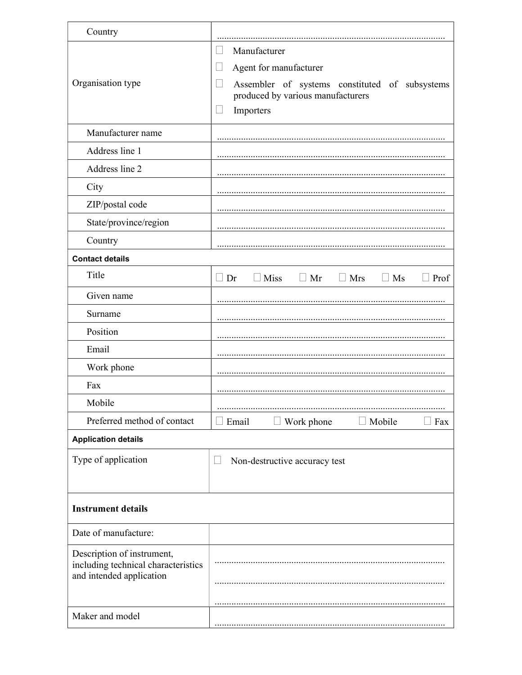| Country                                                                                       |                                                                                                                                                                             |  |  |
|-----------------------------------------------------------------------------------------------|-----------------------------------------------------------------------------------------------------------------------------------------------------------------------------|--|--|
| Organisation type                                                                             | Manufacturer<br>Agent for manufacturer<br>Н<br>Assembler of systems constituted of subsystems<br>$\overline{\phantom{a}}$<br>produced by various manufacturers<br>Importers |  |  |
| Manufacturer name                                                                             |                                                                                                                                                                             |  |  |
| Address line 1                                                                                |                                                                                                                                                                             |  |  |
| Address line 2                                                                                |                                                                                                                                                                             |  |  |
| City                                                                                          |                                                                                                                                                                             |  |  |
| ZIP/postal code                                                                               |                                                                                                                                                                             |  |  |
| State/province/region                                                                         |                                                                                                                                                                             |  |  |
| Country                                                                                       |                                                                                                                                                                             |  |  |
| <b>Contact details</b>                                                                        |                                                                                                                                                                             |  |  |
| Title                                                                                         | $\Box$ Miss<br>$\Box$ Mr<br>$\Box$ Dr<br>$\Box$ Mrs<br>$\Box$ Ms<br>$\Box$ Prof                                                                                             |  |  |
| Given name                                                                                    |                                                                                                                                                                             |  |  |
| Surname                                                                                       |                                                                                                                                                                             |  |  |
| Position                                                                                      |                                                                                                                                                                             |  |  |
| Email                                                                                         |                                                                                                                                                                             |  |  |
| Work phone                                                                                    |                                                                                                                                                                             |  |  |
| Fax                                                                                           |                                                                                                                                                                             |  |  |
| Mobile                                                                                        |                                                                                                                                                                             |  |  |
| Preferred method of contact                                                                   | Work phone<br>Mobile<br>Email<br>Fax                                                                                                                                        |  |  |
| <b>Application details</b>                                                                    |                                                                                                                                                                             |  |  |
| Type of application                                                                           | Non-destructive accuracy test                                                                                                                                               |  |  |
| <b>Instrument details</b>                                                                     |                                                                                                                                                                             |  |  |
| Date of manufacture:                                                                          |                                                                                                                                                                             |  |  |
| Description of instrument,<br>including technical characteristics<br>and intended application |                                                                                                                                                                             |  |  |
| Maker and model                                                                               |                                                                                                                                                                             |  |  |
|                                                                                               |                                                                                                                                                                             |  |  |